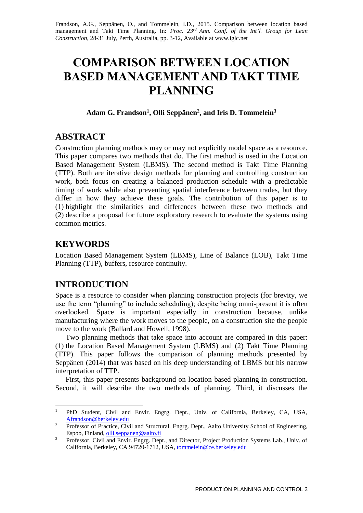Frandson, A.G., Seppänen, O., and Tommelein, I.D., 2015. Comparison between location based management and Takt Time Planning. In: *Proc. 23rd Ann. Conf. of the Int'l. Group for Lean Construction*, 28-31 July, Perth, Australia, pp. 3-12, Available at www.iglc.net

# **COMPARISON BETWEEN LOCATION BASED MANAGEMENT AND TAKT TIME PLANNING**

#### **Adam G. Frandson<sup>1</sup> , Olli Seppänen<sup>2</sup> , and Iris D. Tommelein<sup>3</sup>**

#### **ABSTRACT**

Construction planning methods may or may not explicitly model space as a resource. This paper compares two methods that do. The first method is used in the Location Based Management System (LBMS). The second method is Takt Time Planning (TTP). Both are iterative design methods for planning and controlling construction work, both focus on creating a balanced production schedule with a predictable timing of work while also preventing spatial interference between trades, but they differ in how they achieve these goals. The contribution of this paper is to (1) highlight the similarities and differences between these two methods and (2) describe a proposal for future exploratory research to evaluate the systems using common metrics.

## **KEYWORDS**

Location Based Management System (LBMS), Line of Balance (LOB), Takt Time Planning (TTP), buffers, resource continuity.

## **INTRODUCTION**

Space is a resource to consider when planning construction projects (for brevity, we use the term "planning" to include scheduling); despite being omni-present it is often overlooked. Space is important especially in construction because, unlike manufacturing where the work moves to the people, on a construction site the people move to the work (Ballard and Howell, 1998).

Two planning methods that take space into account are compared in this paper: (1) the Location Based Management System (LBMS) and (2) Takt Time Planning (TTP). This paper follows the comparison of planning methods presented by Seppänen (2014) that was based on his deep understanding of LBMS but his narrow interpretation of TTP.

First, this paper presents background on location based planning in construction. Second, it will describe the two methods of planning. Third, it discusses the

 $\mathbf{1}$ <sup>1</sup> PhD Student, Civil and Envir. Engrg. Dept., Univ. of California, Berkeley, CA, USA, Afrandson@berkeley.edu

<sup>&</sup>lt;sup>2</sup> Professor of Practice, Civil and Structural. Engrg. Dept., Aalto University School of Engineering, Espoo, Finland, olli.seppanen@aalto.fi

<sup>&</sup>lt;sup>3</sup> Professor, Civil and Envir. Engrg. Dept., and Director, Project Production Systems Lab., Univ. of California, Berkeley, CA 94720-1712, USA, [tommelein@ce.berkeley.edu](mailto:tommelein@ce.berkeley.edu)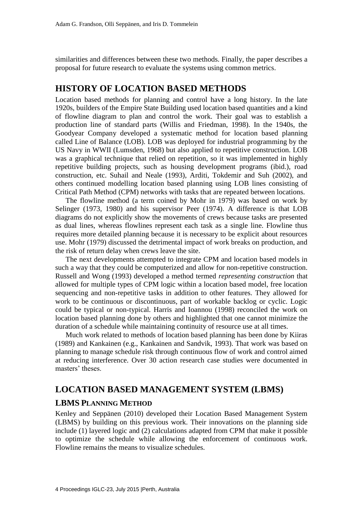similarities and differences between these two methods. Finally, the paper describes a proposal for future research to evaluate the systems using common metrics.

#### **HISTORY OF LOCATION BASED METHODS**

Location based methods for planning and control have a long history. In the late 1920s, builders of the Empire State Building used location based quantities and a kind of flowline diagram to plan and control the work. Their goal was to establish a production line of standard parts (Willis and Friedman, 1998). In the 1940s, the Goodyear Company developed a systematic method for location based planning called Line of Balance (LOB). LOB was deployed for industrial programming by the US Navy in WWII (Lumsden, 1968) but also applied to repetitive construction. LOB was a graphical technique that relied on repetition, so it was implemented in highly repetitive building projects, such as housing development programs (ibid.), road construction, etc. Suhail and Neale (1993), Arditi, Tokdemir and Suh (2002), and others continued modelling location based planning using LOB lines consisting of Critical Path Method (CPM) networks with tasks that are repeated between locations.

The flowline method (a term coined by Mohr in 1979) was based on work by Selinger (1973, 1980) and his supervisor Peer (1974). A difference is that LOB diagrams do not explicitly show the movements of crews because tasks are presented as dual lines, whereas flowlines represent each task as a single line. Flowline thus requires more detailed planning because it is necessary to be explicit about resources use. Mohr (1979) discussed the detrimental impact of work breaks on production, and the risk of return delay when crews leave the site.

The next developments attempted to integrate CPM and location based models in such a way that they could be computerized and allow for non-repetitive construction. Russell and Wong (1993) developed a method termed *representing construction* that allowed for multiple types of CPM logic within a location based model, free location sequencing and non-repetitive tasks in addition to other features. They allowed for work to be continuous or discontinuous, part of workable backlog or cyclic. Logic could be typical or non-typical. Harris and Ioannou (1998) reconciled the work on location based planning done by others and highlighted that one cannot minimize the duration of a schedule while maintaining continuity of resource use at all times.

Much work related to methods of location based planning has been done by Kiiras (1989) and Kankainen (e.g., Kankainen and Sandvik, 1993). That work was based on planning to manage schedule risk through continuous flow of work and control aimed at reducing interference. Over 30 action research case studies were documented in masters' theses.

## **LOCATION BASED MANAGEMENT SYSTEM (LBMS)**

#### **LBMS PLANNING METHOD**

Kenley and Seppänen (2010) developed their Location Based Management System (LBMS) by building on this previous work. Their innovations on the planning side include (1) layered logic and (2) calculations adapted from CPM that make it possible to optimize the schedule while allowing the enforcement of continuous work. Flowline remains the means to visualize schedules.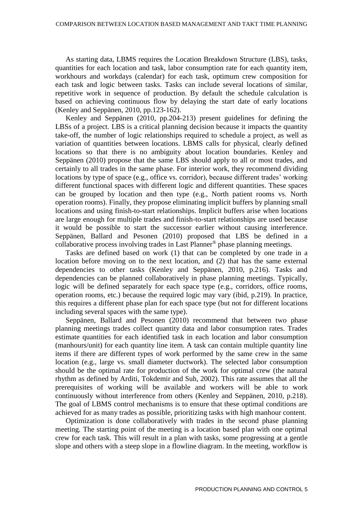As starting data, LBMS requires the Location Breakdown Structure (LBS), tasks, quantities for each location and task, labor consumption rate for each quantity item, workhours and workdays (calendar) for each task, optimum crew composition for each task and logic between tasks. Tasks can include several locations of similar, repetitive work in sequence of production. By default the schedule calculation is based on achieving continuous flow by delaying the start date of early locations (Kenley and Seppänen, 2010, pp.123-162).

Kenley and Seppänen (2010, pp.204-213) present guidelines for defining the LBSs of a project. LBS is a critical planning decision because it impacts the quantity take-off, the number of logic relationships required to schedule a project, as well as variation of quantities between locations. LBMS calls for physical, clearly defined locations so that there is no ambiguity about location boundaries. Kenley and Seppänen (2010) propose that the same LBS should apply to all or most trades, and certainly to all trades in the same phase. For interior work, they recommend dividing locations by type of space (e.g., office vs. corridor), because different trades' working different functional spaces with different logic and different quantities. These spaces can be grouped by location and then type (e.g., North patient rooms vs. North operation rooms). Finally, they propose eliminating implicit buffers by planning small locations and using finish-to-start relationships. Implicit buffers arise when locations are large enough for multiple trades and finish-to-start relationships are used because it would be possible to start the successor earlier without causing interference. Seppänen, Ballard and Pesonen (2010) proposed that LBS be defined in a collaborative process involving trades in Last Planner® phase planning meetings.

Tasks are defined based on work (1) that can be completed by one trade in a location before moving on to the next location, and (2) that has the same external dependencies to other tasks (Kenley and Seppänen, 2010, p.216). Tasks and dependencies can be planned collaboratively in phase planning meetings. Typically, logic will be defined separately for each space type (e.g., corridors, office rooms, operation rooms, etc.) because the required logic may vary (ibid, p.219). In practice, this requires a different phase plan for each space type (but not for different locations including several spaces with the same type).

Seppänen, Ballard and Pesonen (2010) recommend that between two phase planning meetings trades collect quantity data and labor consumption rates. Trades estimate quantities for each identified task in each location and labor consumption (manhours/unit) for each quantity line item. A task can contain multiple quantity line items if there are different types of work performed by the same crew in the same location (e.g., large vs. small diameter ductwork). The selected labor consumption should be the optimal rate for production of the work for optimal crew (the natural rhythm as defined by Arditi, Tokdemir and Suh, 2002). This rate assumes that all the prerequisites of working will be available and workers will be able to work continuously without interference from others (Kenley and Seppänen, 2010, p.218). The goal of LBMS control mechanisms is to ensure that these optimal conditions are achieved for as many trades as possible, prioritizing tasks with high manhour content.

Optimization is done collaboratively with trades in the second phase planning meeting. The starting point of the meeting is a location based plan with one optimal crew for each task. This will result in a plan with tasks, some progressing at a gentle slope and others with a steep slope in a flowline diagram. In the meeting, workflow is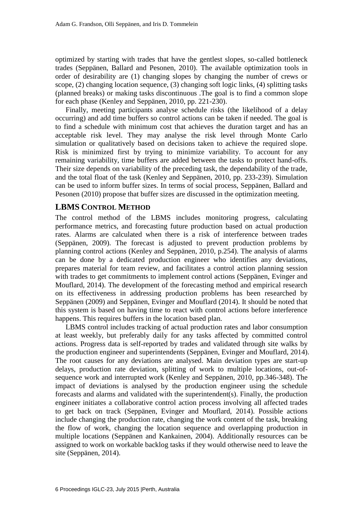optimized by starting with trades that have the gentlest slopes, so-called bottleneck trades (Seppänen, Ballard and Pesonen, 2010). The available optimization tools in order of desirability are (1) changing slopes by changing the number of crews or scope, (2) changing location sequence, (3) changing soft logic links, (4) splitting tasks (planned breaks) or making tasks discontinuous .The goal is to find a common slope for each phase (Kenley and Seppänen, 2010, pp. 221-230).

Finally, meeting participants analyse schedule risks (the likelihood of a delay occurring) and add time buffers so control actions can be taken if needed. The goal is to find a schedule with minimum cost that achieves the duration target and has an acceptable risk level. They may analyse the risk level through Monte Carlo simulation or qualitatively based on decisions taken to achieve the required slope. Risk is minimized first by trying to minimize variability. To account for any remaining variability, time buffers are added between the tasks to protect hand-offs. Their size depends on variability of the preceding task, the dependability of the trade, and the total float of the task (Kenley and Seppänen, 2010, pp. 233-239). Simulation can be used to inform buffer sizes. In terms of social process, Seppänen, Ballard and Pesonen (2010) propose that buffer sizes are discussed in the optimization meeting.

#### **LBMS CONTROL METHOD**

The control method of the LBMS includes monitoring progress, calculating performance metrics, and forecasting future production based on actual production rates. Alarms are calculated when there is a risk of interference between trades (Seppänen, 2009). The forecast is adjusted to prevent production problems by planning control actions (Kenley and Seppänen, 2010, p.254). The analysis of alarms can be done by a dedicated production engineer who identifies any deviations, prepares material for team review, and facilitates a control action planning session with trades to get commitments to implement control actions (Seppänen, Evinger and Mouflard, 2014). The development of the forecasting method and empirical research on its effectiveness in addressing production problems has been researched by Seppänen (2009) and Seppänen, Evinger and Mouflard (2014). It should be noted that this system is based on having time to react with control actions before interference happens. This requires buffers in the location based plan.

LBMS control includes tracking of actual production rates and labor consumption at least weekly, but preferably daily for any tasks affected by committed control actions. Progress data is self-reported by trades and validated through site walks by the production engineer and superintendents (Seppänen, Evinger and Mouflard, 2014). The root causes for any deviations are analysed. Main deviation types are start-up delays, production rate deviation, splitting of work to multiple locations, out-ofsequence work and interrupted work (Kenley and Seppänen, 2010, pp.346-348). The impact of deviations is analysed by the production engineer using the schedule forecasts and alarms and validated with the superintendent(s). Finally, the production engineer initiates a collaborative control action process involving all affected trades to get back on track (Seppänen, Evinger and Mouflard, 2014). Possible actions include changing the production rate, changing the work content of the task, breaking the flow of work, changing the location sequence and overlapping production in multiple locations (Seppänen and Kankainen, 2004). Additionally resources can be assigned to work on workable backlog tasks if they would otherwise need to leave the site (Seppänen, 2014).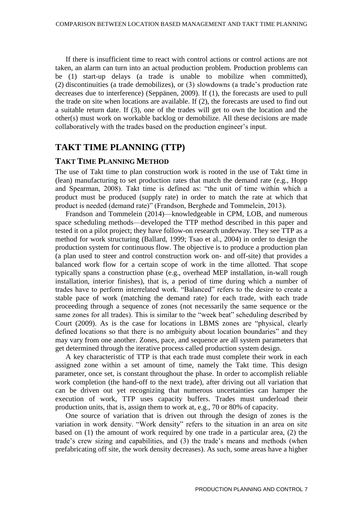If there is insufficient time to react with control actions or control actions are not taken, an alarm can turn into an actual production problem. Production problems can be (1) start-up delays (a trade is unable to mobilize when committed), (2) discontinuities (a trade demobilizes), or (3) slowdowns (a trade's production rate decreases due to interference) (Seppänen, 2009). If (1), the forecasts are used to pull the trade on site when locations are available. If (2), the forecasts are used to find out a suitable return date. If (3), one of the trades will get to own the location and the other(s) must work on workable backlog or demobilize. All these decisions are made collaboratively with the trades based on the production engineer's input.

## **TAKT TIME PLANNING (TTP)**

#### **TAKT TIME PLANNING METHOD**

The use of Takt time to plan construction work is rooted in the use of Takt time in (lean) manufacturing to set production rates that match the demand rate (e.g., Hopp and Spearman, 2008). Takt time is defined as: "the unit of time within which a product must be produced (supply rate) in order to match the rate at which that product is needed (demand rate)" (Frandson, Berghede and Tommelein, 2013).

Frandson and Tommelein (2014)—knowledgeable in CPM, LOB, and numerous space scheduling methods—developed the TTP method described in this paper and tested it on a pilot project; they have follow-on research underway. They see TTP as a method for work structuring (Ballard, 1999; Tsao et al., 2004) in order to design the production system for continuous flow. The objective is to produce a production plan (a plan used to steer and control construction work on- and off-site) that provides a balanced work flow for a certain scope of work in the time allotted. That scope typically spans a construction phase (e.g., overhead MEP installation, in-wall rough installation, interior finishes), that is, a period of time during which a number of trades have to perform interrelated work. "Balanced" refers to the desire to create a stable pace of work (matching the demand rate) for each trade, with each trade proceeding through a sequence of zones (not necessarily the same sequence or the same zones for all trades). This is similar to the "week beat" scheduling described by Court (2009). As is the case for locations in LBMS zones are "physical, clearly defined locations so that there is no ambiguity about location boundaries" and they may vary from one another. Zones, pace, and sequence are all system parameters that get determined through the iterative process called production system design.

A key characteristic of TTP is that each trade must complete their work in each assigned zone within a set amount of time, namely the Takt time. This design parameter, once set, is constant throughout the phase. In order to accomplish reliable work completion (the hand-off to the next trade), after driving out all variation that can be driven out yet recognizing that numerous uncertainties can hamper the execution of work, TTP uses capacity buffers. Trades must underload their production units, that is, assign them to work at, e.g., 70 or 80% of capacity.

One source of variation that is driven out through the design of zones is the variation in work density. "Work density" refers to the situation in an area on site based on (1) the amount of work required by one trade in a particular area, (2) the trade's crew sizing and capabilities, and (3) the trade's means and methods (when prefabricating off site, the work density decreases). As such, some areas have a higher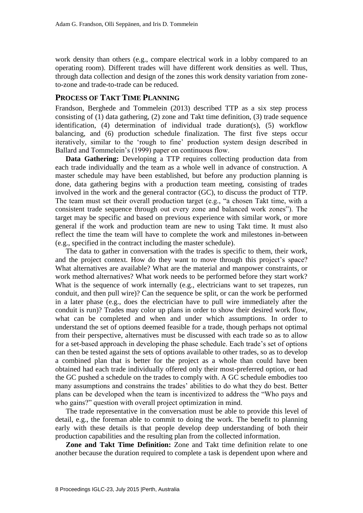work density than others (e.g., compare electrical work in a lobby compared to an operating room). Different trades will have different work densities as well. Thus, through data collection and design of the zones this work density variation from zoneto-zone and trade-to-trade can be reduced.

#### **PROCESS OF TAKT TIME PLANNING**

Frandson, Berghede and Tommelein (2013) described TTP as a six step process consisting of (1) data gathering, (2) zone and Takt time definition, (3) trade sequence identification, (4) determination of individual trade duration(s), (5) workflow balancing, and (6) production schedule finalization. The first five steps occur iteratively, similar to the 'rough to fine' production system design described in Ballard and Tommelein's (1999) paper on continuous flow.

**Data Gathering:** Developing a TTP requires collecting production data from each trade individually and the team as a whole well in advance of construction. A master schedule may have been established, but before any production planning is done, data gathering begins with a production team meeting, consisting of trades involved in the work and the general contractor (GC), to discuss the product of TTP. The team must set their overall production target (e.g., "a chosen Takt time, with a consistent trade sequence through out every zone and balanced work zones"). The target may be specific and based on previous experience with similar work, or more general if the work and production team are new to using Takt time. It must also reflect the time the team will have to complete the work and milestones in-between (e.g., specified in the contract including the master schedule).

The data to gather in conversation with the trades is specific to them, their work, and the project context. How do they want to move through this project's space? What alternatives are available? What are the material and manpower constraints, or work method alternatives? What work needs to be performed before they start work? What is the sequence of work internally (e.g., electricians want to set trapezes, run conduit, and then pull wire)? Can the sequence be split, or can the work be performed in a later phase (e.g., does the electrician have to pull wire immediately after the conduit is run)? Trades may color up plans in order to show their desired work flow, what can be completed and when and under which assumptions. In order to understand the set of options deemed feasible for a trade, though perhaps not optimal from their perspective, alternatives must be discussed with each trade so as to allow for a set-based approach in developing the phase schedule. Each trade's set of options can then be tested against the sets of options available to other trades, so as to develop a combined plan that is better for the project as a whole than could have been obtained had each trade individually offered only their most-preferred option, or had the GC pushed a schedule on the trades to comply with. A GC schedule embodies too many assumptions and constrains the trades' abilities to do what they do best. Better plans can be developed when the team is incentivized to address the "Who pays and who gains?" question with overall project optimization in mind.

The trade representative in the conversation must be able to provide this level of detail, e.g., the foreman able to commit to doing the work. The benefit to planning early with these details is that people develop deep understanding of both their production capabilities and the resulting plan from the collected information.

**Zone and Takt Time Definition:** Zone and Takt time definition relate to one another because the duration required to complete a task is dependent upon where and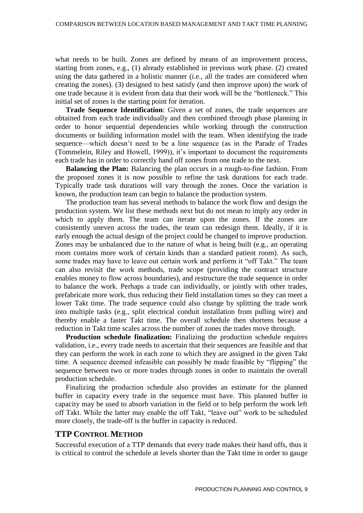what needs to be built. Zones are defined by means of an improvement process, starting from zones, e.g., (1) already established in previous work phase. (2) created using the data gathered in a holistic manner (i.e., all the trades are considered when creating the zones). (3) designed to best satisfy (and then improve upon) the work of one trade because it is evident from data that their work will be the "bottleneck." This initial set of zones is the starting point for iteration.

**Trade Sequence Identification**: Given a set of zones, the trade sequences are obtained from each trade individually and then combined through phase planning in order to honor sequential dependencies while working through the construction documents or building information model with the team. When identifying the trade sequence—which doesn't need to be a line sequence (as in the Parade of Trades (Tommelein, Riley and Howell, 1999)), it's important to document the requirements each trade has in order to correctly hand off zones from one trade to the next.

**Balancing the Plan:** Balancing the plan occurs in a rough-to-fine fashion. From the proposed zones it is now possible to refine the task durations for each trade. Typically trade task durations will vary through the zones. Once the variation is known, the production team can begin to balance the production system.

The production team has several methods to balance the work flow and design the production system. We list these methods next but do not mean to imply any order in which to apply them. The team can iterate upon the zones. If the zones are consistently uneven across the trades, the team can redesign them. Ideally, if it is early enough the actual design of the project could be changed to improve production. Zones may be unbalanced due to the nature of what is being built (e.g., an operating room contains more work of certain kinds than a standard patient room). As such, some trades may have to leave out certain work and perform it "off Takt." The team can also revisit the work methods, trade scope (providing the contract structure enables money to flow across boundaries), and restructure the trade sequence in order to balance the work. Perhaps a trade can individually, or jointly with other trades, prefabricate more work, thus reducing their field installation times so they can meet a lower Takt time. The trade sequence could also change by splitting the trade work into multiple tasks (e.g., split electrical conduit installation from pulling wire) and thereby enable a faster Takt time. The overall schedule then shortens because a reduction in Takt time scales across the number of zones the trades move through.

**Production schedule finalization:** Finalizing the production schedule requires validation, i.e., every trade needs to ascertain that their sequences are feasible and that they can perform the work in each zone to which they are assigned in the given Takt time. A sequence deemed infeasible can possibly be made feasible by "flipping" the sequence between two or more trades through zones in order to maintain the overall production schedule.

Finalizing the production schedule also provides an estimate for the planned buffer in capacity every trade in the sequence must have. This planned buffer in capacity may be used to absorb variation in the field or to help perform the work left off Takt. While the latter may enable the off Takt, "leave out" work to be scheduled more closely, the trade-off is the buffer in capacity is reduced.

#### **TTP CONTROL METHOD**

Successful execution of a TTP demands that every trade makes their hand offs, thus it is critical to control the schedule at levels shorter than the Takt time in order to gauge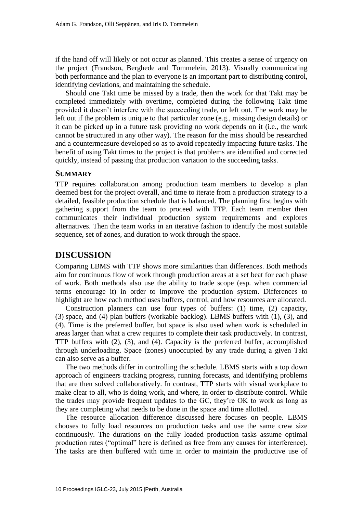if the hand off will likely or not occur as planned. This creates a sense of urgency on the project (Frandson, Berghede and Tommelein, 2013). Visually communicating both performance and the plan to everyone is an important part to distributing control, identifying deviations, and maintaining the schedule.

Should one Takt time be missed by a trade, then the work for that Takt may be completed immediately with overtime, completed during the following Takt time provided it doesn't interfere with the succeeding trade, or left out. The work may be left out if the problem is unique to that particular zone (e.g., missing design details) or it can be picked up in a future task providing no work depends on it (i.e., the work cannot be structured in any other way). The reason for the miss should be researched and a countermeasure developed so as to avoid repeatedly impacting future tasks. The benefit of using Takt times to the project is that problems are identified and corrected quickly, instead of passing that production variation to the succeeding tasks.

#### **SUMMARY**

TTP requires collaboration among production team members to develop a plan deemed best for the project overall, and time to iterate from a production strategy to a detailed, feasible production schedule that is balanced. The planning first begins with gathering support from the team to proceed with TTP. Each team member then communicates their individual production system requirements and explores alternatives. Then the team works in an iterative fashion to identify the most suitable sequence, set of zones, and duration to work through the space.

## **DISCUSSION**

Comparing LBMS with TTP shows more similarities than differences. Both methods aim for continuous flow of work through production areas at a set beat for each phase of work. Both methods also use the ability to trade scope (esp. when commercial terms encourage it) in order to improve the production system. Differences to highlight are how each method uses buffers, control, and how resources are allocated.

Construction planners can use four types of buffers: (1) time, (2) capacity, (3) space, and (4) plan buffers (workable backlog). LBMS buffers with (1), (3), and (4). Time is the preferred buffer, but space is also used when work is scheduled in areas larger than what a crew requires to complete their task productively. In contrast, TTP buffers with (2), (3), and (4). Capacity is the preferred buffer, accomplished through underloading. Space (zones) unoccupied by any trade during a given Takt can also serve as a buffer.

The two methods differ in controlling the schedule. LBMS starts with a top down approach of engineers tracking progress, running forecasts, and identifying problems that are then solved collaboratively. In contrast, TTP starts with visual workplace to make clear to all, who is doing work, and where, in order to distribute control. While the trades may provide frequent updates to the GC, they're OK to work as long as they are completing what needs to be done in the space and time allotted.

The resource allocation difference discussed here focuses on people. LBMS chooses to fully load resources on production tasks and use the same crew size continuously. The durations on the fully loaded production tasks assume optimal production rates ("optimal" here is defined as free from any causes for interference). The tasks are then buffered with time in order to maintain the productive use of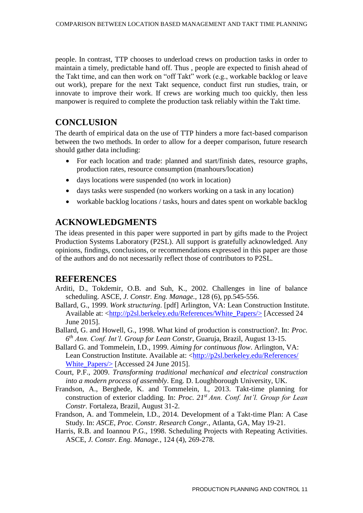people. In contrast, TTP chooses to underload crews on production tasks in order to maintain a timely, predictable hand off. Thus , people are expected to finish ahead of the Takt time, and can then work on "off Takt" work (e.g., workable backlog or leave out work), prepare for the next Takt sequence, conduct first run studies, train, or innovate to improve their work. If crews are working much too quickly, then less manpower is required to complete the production task reliably within the Takt time.

## **CONCLUSION**

The dearth of empirical data on the use of TTP hinders a more fact-based comparison between the two methods. In order to allow for a deeper comparison, future research should gather data including:

- For each location and trade: planned and start/finish dates, resource graphs, production rates, resource consumption (manhours/location)
- days locations were suspended (no work in location)
- days tasks were suspended (no workers working on a task in any location)
- workable backlog locations / tasks, hours and dates spent on workable backlog

## **ACKNOWLEDGMENTS**

The ideas presented in this paper were supported in part by gifts made to the Project Production Systems Laboratory (P2SL). All support is gratefully acknowledged. Any opinions, findings, conclusions, or recommendations expressed in this paper are those of the authors and do not necessarily reflect those of contributors to P2SL.

## **REFERENCES**

- Arditi, D., Tokdemir, O.B. and Suh, K., 2002. Challenges in line of balance scheduling. ASCE, *J. Constr. Eng. Manage.*, 128 (6), pp.545-556.
- Ballard, G., 1999. *Work structuring*. [pdf] Arlington, VA: Lean Construction Institute. Available at: [<http://p2sl.berkeley.edu/References/White\\_Papers/>](http://p2sl.berkeley.edu/References/White_Papers/) [Accessed 24 June 2015].
- Ballard, G. and Howell, G., 1998. What kind of production is construction?. In: *Proc. 6 th Ann. Conf. Int'l. Group for Lean Constr*, Guaruja, Brazil, August 13-15.
- Ballard G. and Tommelein, I.D., 1999. *Aiming for continuous flow*. Arlington, VA: Lean Construction Institute. Available at: [<http://p2sl.berkeley.edu/References/](http://p2sl.berkeley.edu/References/White_Papers/) White Papers/> [Accessed 24 June 2015].
- Court, P.F., 2009. *Transforming traditional mechanical and electrical construction into a modern process of assembly*. Eng. D. Loughborough University, UK.
- Frandson, A., Berghede, K. and Tommelein, I., 2013. Takt-time planning for construction of exterior cladding. In: *Proc. 21st Ann. Conf. Int'l. Group for Lean Constr.* Fortaleza, Brazil, August 31-2.
- Frandson, A. and Tommelein, I.D., 2014. Development of a Takt-time Plan: A Case Study. In: *ASCE, Proc. Constr. Research Congr.*, Atlanta, GA, May 19-21.
- Harris, R.B. and Ioannou P.G., 1998. Scheduling Projects with Repeating Activities. ASCE, *J. Constr. Eng. Manage.*, 124 (4), 269-278.